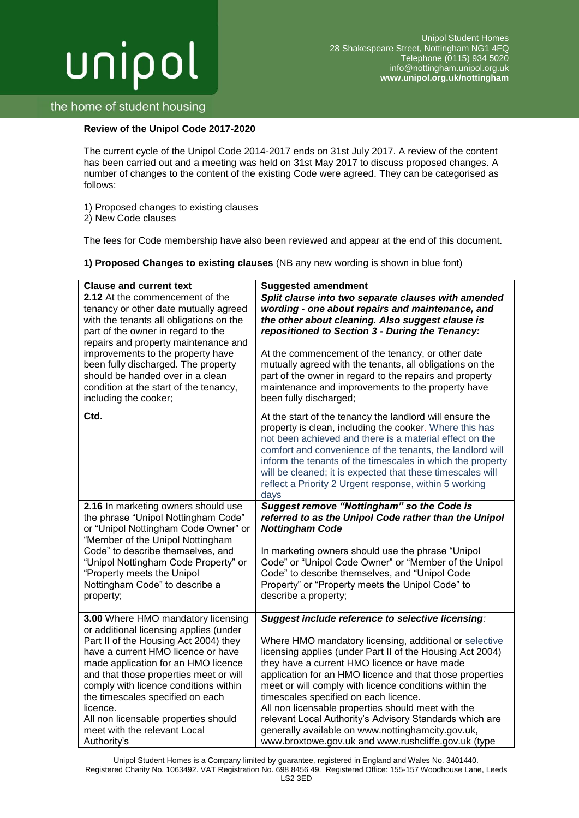# unipol

# the home of student housing

## **Review of the Unipol Code 2017-2020**

The current cycle of the Unipol Code 2014-2017 ends on 31st July 2017. A review of the content has been carried out and a meeting was held on 31st May 2017 to discuss proposed changes. A number of changes to the content of the existing Code were agreed. They can be categorised as follows:

- 1) Proposed changes to existing clauses
- 2) New Code clauses

The fees for Code membership have also been reviewed and appear at the end of this document.

**1) Proposed Changes to existing clauses** (NB any new wording is shown in blue font)

| <b>Clause and current text</b>                                                                                                                                                                                                                                                                                                                                                                                               | <b>Suggested amendment</b>                                                                                                                                                                                                                                                                                                                                                                                                                                                                                                                                                                                           |  |  |
|------------------------------------------------------------------------------------------------------------------------------------------------------------------------------------------------------------------------------------------------------------------------------------------------------------------------------------------------------------------------------------------------------------------------------|----------------------------------------------------------------------------------------------------------------------------------------------------------------------------------------------------------------------------------------------------------------------------------------------------------------------------------------------------------------------------------------------------------------------------------------------------------------------------------------------------------------------------------------------------------------------------------------------------------------------|--|--|
| 2.12 At the commencement of the<br>tenancy or other date mutually agreed<br>with the tenants all obligations on the<br>part of the owner in regard to the<br>repairs and property maintenance and<br>improvements to the property have<br>been fully discharged. The property<br>should be handed over in a clean<br>condition at the start of the tenancy,<br>including the cooker;                                         | Split clause into two separate clauses with amended<br>wording - one about repairs and maintenance, and<br>the other about cleaning. Also suggest clause is<br>repositioned to Section 3 - During the Tenancy:<br>At the commencement of the tenancy, or other date<br>mutually agreed with the tenants, all obligations on the<br>part of the owner in regard to the repairs and property<br>maintenance and improvements to the property have<br>been fully discharged;                                                                                                                                            |  |  |
| Ctd.                                                                                                                                                                                                                                                                                                                                                                                                                         | At the start of the tenancy the landlord will ensure the<br>property is clean, including the cooker. Where this has<br>not been achieved and there is a material effect on the<br>comfort and convenience of the tenants, the landlord will<br>inform the tenants of the timescales in which the property<br>will be cleaned; it is expected that these timescales will<br>reflect a Priority 2 Urgent response, within 5 working<br>days                                                                                                                                                                            |  |  |
| 2.16 In marketing owners should use<br>the phrase "Unipol Nottingham Code"<br>or "Unipol Nottingham Code Owner" or<br>"Member of the Unipol Nottingham<br>Code" to describe themselves, and<br>"Unipol Nottingham Code Property" or<br>"Property meets the Unipol<br>Nottingham Code" to describe a<br>property;                                                                                                             | Suggest remove "Nottingham" so the Code is<br>referred to as the Unipol Code rather than the Unipol<br><b>Nottingham Code</b><br>In marketing owners should use the phrase "Unipol<br>Code" or "Unipol Code Owner" or "Member of the Unipol<br>Code" to describe themselves, and "Unipol Code<br>Property" or "Property meets the Unipol Code" to<br>describe a property;                                                                                                                                                                                                                                            |  |  |
| 3.00 Where HMO mandatory licensing<br>or additional licensing applies (under<br>Part II of the Housing Act 2004) they<br>have a current HMO licence or have<br>made application for an HMO licence<br>and that those properties meet or will<br>comply with licence conditions within<br>the timescales specified on each<br>licence.<br>All non licensable properties should<br>meet with the relevant Local<br>Authority's | Suggest include reference to selective licensing:<br>Where HMO mandatory licensing, additional or selective<br>licensing applies (under Part II of the Housing Act 2004)<br>they have a current HMO licence or have made<br>application for an HMO licence and that those properties<br>meet or will comply with licence conditions within the<br>timescales specified on each licence.<br>All non licensable properties should meet with the<br>relevant Local Authority's Advisory Standards which are<br>generally available on www.nottinghamcity.gov.uk,<br>www.broxtowe.gov.uk and www.rushcliffe.gov.uk (type |  |  |

Unipol Student Homes is a Company limited by guarantee, registered in England and Wales No. 3401440. Registered Charity No. 1063492. VAT Registration No. 698 8456 49. Registered Office: 155-157 Woodhouse Lane, Leeds LS2 3ED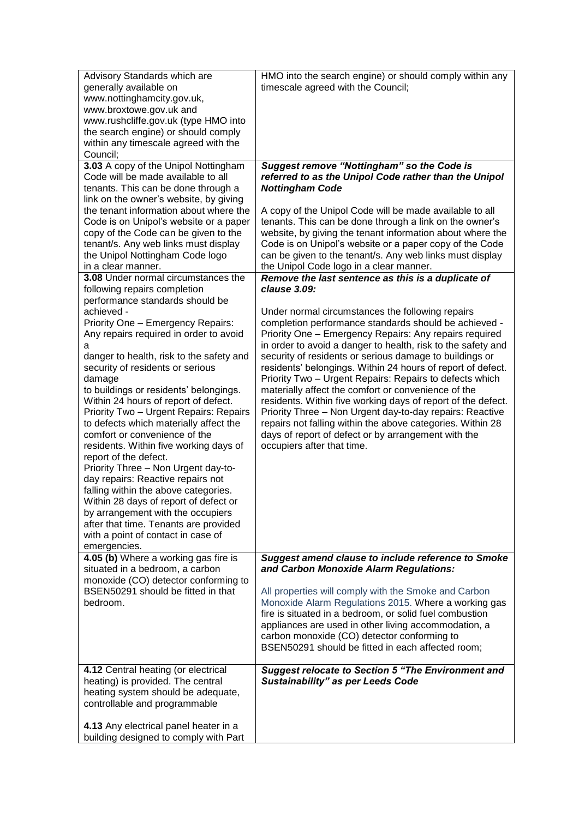| Advisory Standards which are             | HMO into the search engine) or should comply within any      |
|------------------------------------------|--------------------------------------------------------------|
| generally available on                   | timescale agreed with the Council;                           |
| www.nottinghamcity.gov.uk,               |                                                              |
| www.broxtowe.gov.uk and                  |                                                              |
| www.rushcliffe.gov.uk (type HMO into     |                                                              |
| the search engine) or should comply      |                                                              |
| within any timescale agreed with the     |                                                              |
| Council;                                 |                                                              |
| 3.03 A copy of the Unipol Nottingham     | Suggest remove "Nottingham" so the Code is                   |
| Code will be made available to all       | referred to as the Unipol Code rather than the Unipol        |
| tenants. This can be done through a      | <b>Nottingham Code</b>                                       |
| link on the owner's website, by giving   |                                                              |
| the tenant information about where the   | A copy of the Unipol Code will be made available to all      |
| Code is on Unipol's website or a paper   | tenants. This can be done through a link on the owner's      |
| copy of the Code can be given to the     | website, by giving the tenant information about where the    |
| tenant/s. Any web links must display     | Code is on Unipol's website or a paper copy of the Code      |
| the Unipol Nottingham Code logo          | can be given to the tenant/s. Any web links must display     |
| in a clear manner.                       | the Unipol Code logo in a clear manner.                      |
| 3.08 Under normal circumstances the      | Remove the last sentence as this is a duplicate of           |
| following repairs completion             | clause 3.09:                                                 |
| performance standards should be          |                                                              |
| achieved -                               | Under normal circumstances the following repairs             |
| Priority One - Emergency Repairs:        | completion performance standards should be achieved -        |
| Any repairs required in order to avoid   | Priority One - Emergency Repairs: Any repairs required       |
| а                                        | in order to avoid a danger to health, risk to the safety and |
| danger to health, risk to the safety and | security of residents or serious damage to buildings or      |
| security of residents or serious         | residents' belongings. Within 24 hours of report of defect.  |
| damage                                   | Priority Two - Urgent Repairs: Repairs to defects which      |
| to buildings or residents' belongings.   | materially affect the comfort or convenience of the          |
| Within 24 hours of report of defect.     | residents. Within five working days of report of the defect. |
| Priority Two - Urgent Repairs: Repairs   | Priority Three - Non Urgent day-to-day repairs: Reactive     |
| to defects which materially affect the   | repairs not falling within the above categories. Within 28   |
| comfort or convenience of the            | days of report of defect or by arrangement with the          |
| residents. Within five working days of   | occupiers after that time.                                   |
| report of the defect.                    |                                                              |
| Priority Three - Non Urgent day-to-      |                                                              |
| day repairs: Reactive repairs not        |                                                              |
| falling within the above categories.     |                                                              |
| Within 28 days of report of defect or    |                                                              |
| by arrangement with the occupiers        |                                                              |
| after that time. Tenants are provided    |                                                              |
| with a point of contact in case of       |                                                              |
| emergencies.                             |                                                              |
| 4.05 (b) Where a working gas fire is     | <b>Suggest amend clause to include reference to Smoke</b>    |
| situated in a bedroom, a carbon          | and Carbon Monoxide Alarm Regulations:                       |
| monoxide (CO) detector conforming to     |                                                              |
| BSEN50291 should be fitted in that       | All properties will comply with the Smoke and Carbon         |
| bedroom.                                 | Monoxide Alarm Regulations 2015. Where a working gas         |
|                                          | fire is situated in a bedroom, or solid fuel combustion      |
|                                          | appliances are used in other living accommodation, a         |
|                                          | carbon monoxide (CO) detector conforming to                  |
|                                          | BSEN50291 should be fitted in each affected room;            |
|                                          |                                                              |
| 4.12 Central heating (or electrical      | <b>Suggest relocate to Section 5 "The Environment and</b>    |
| heating) is provided. The central        | <b>Sustainability" as per Leeds Code</b>                     |
| heating system should be adequate,       |                                                              |
| controllable and programmable            |                                                              |
|                                          |                                                              |
| 4.13 Any electrical panel heater in a    |                                                              |
| building designed to comply with Part    |                                                              |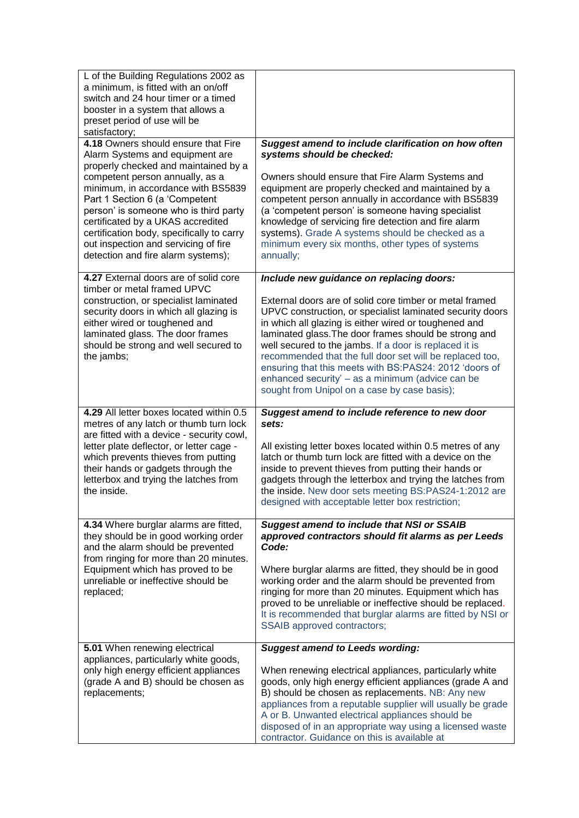| L of the Building Regulations 2002 as<br>a minimum, is fitted with an on/off<br>switch and 24 hour timer or a timed<br>booster in a system that allows a<br>preset period of use will be<br>satisfactory;                                                                                                                                                                                                                                                                   |                                                                                                                                                                                                                                                                                                                                                                                                                                                                                                                                   |
|-----------------------------------------------------------------------------------------------------------------------------------------------------------------------------------------------------------------------------------------------------------------------------------------------------------------------------------------------------------------------------------------------------------------------------------------------------------------------------|-----------------------------------------------------------------------------------------------------------------------------------------------------------------------------------------------------------------------------------------------------------------------------------------------------------------------------------------------------------------------------------------------------------------------------------------------------------------------------------------------------------------------------------|
| 4.18 Owners should ensure that Fire<br>Alarm Systems and equipment are<br>properly checked and maintained by a<br>competent person annually, as a<br>minimum, in accordance with BS5839<br>Part 1 Section 6 (a 'Competent<br>person' is someone who is third party<br>certificated by a UKAS accredited<br>certification body, specifically to carry<br>out inspection and servicing of fire<br>detection and fire alarm systems);<br>4.27 External doors are of solid core | Suggest amend to include clarification on how often<br>systems should be checked:<br>Owners should ensure that Fire Alarm Systems and<br>equipment are properly checked and maintained by a<br>competent person annually in accordance with BS5839<br>(a 'competent person' is someone having specialist<br>knowledge of servicing fire detection and fire alarm<br>systems). Grade A systems should be checked as a<br>minimum every six months, other types of systems<br>annually;<br>Include new guidance on replacing doors: |
| timber or metal framed UPVC<br>construction, or specialist laminated<br>security doors in which all glazing is<br>either wired or toughened and<br>laminated glass. The door frames<br>should be strong and well secured to<br>the jambs;                                                                                                                                                                                                                                   | External doors are of solid core timber or metal framed<br>UPVC construction, or specialist laminated security doors<br>in which all glazing is either wired or toughened and<br>laminated glass. The door frames should be strong and<br>well secured to the jambs. If a door is replaced it is<br>recommended that the full door set will be replaced too,<br>ensuring that this meets with BS:PAS24: 2012 'doors of<br>enhanced security' - as a minimum (advice can be<br>sought from Unipol on a case by case basis);        |
| 4.29 All letter boxes located within 0.5<br>metres of any latch or thumb turn lock<br>are fitted with a device - security cowl,                                                                                                                                                                                                                                                                                                                                             | Suggest amend to include reference to new door<br>sets:                                                                                                                                                                                                                                                                                                                                                                                                                                                                           |
| letter plate deflector, or letter cage -<br>which prevents thieves from putting<br>their hands or gadgets through the<br>letterbox and trying the latches from<br>the inside.                                                                                                                                                                                                                                                                                               | All existing letter boxes located within 0.5 metres of any<br>latch or thumb turn lock are fitted with a device on the<br>inside to prevent thieves from putting their hands or<br>gadgets through the letterbox and trying the latches from<br>the inside. New door sets meeting BS:PAS24-1:2012 are<br>designed with acceptable letter box restriction;                                                                                                                                                                         |
| 4.34 Where burglar alarms are fitted,<br>they should be in good working order<br>and the alarm should be prevented<br>from ringing for more than 20 minutes.<br>Equipment which has proved to be<br>unreliable or ineffective should be<br>replaced;                                                                                                                                                                                                                        | <b>Suggest amend to include that NSI or SSAIB</b><br>approved contractors should fit alarms as per Leeds<br>Code:<br>Where burglar alarms are fitted, they should be in good<br>working order and the alarm should be prevented from<br>ringing for more than 20 minutes. Equipment which has<br>proved to be unreliable or ineffective should be replaced.<br>It is recommended that burglar alarms are fitted by NSI or<br>SSAIB approved contractors;                                                                          |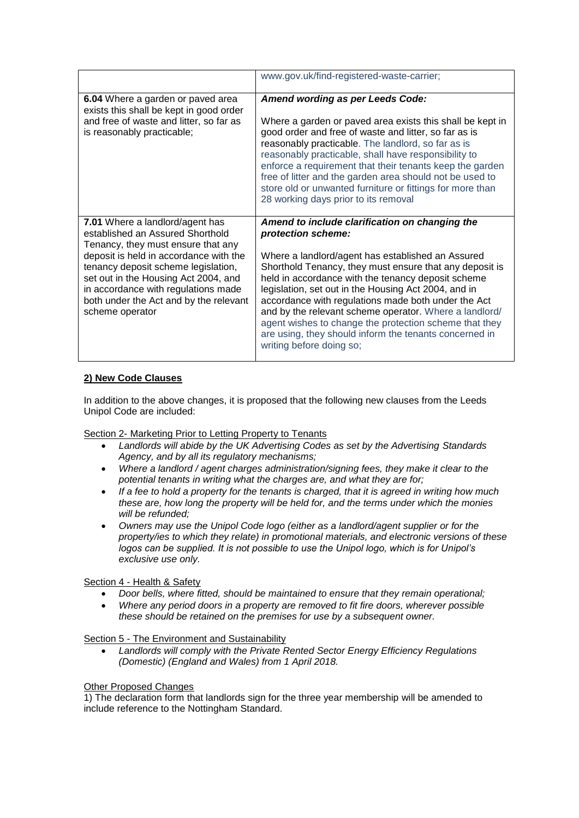|                                                                                                                                                                                                                                                                                                                                        | www.gov.uk/find-registered-waste-carrier;                                                                                                                                                                                                                                                                                                                                                                                                                                                                                                                           |  |  |
|----------------------------------------------------------------------------------------------------------------------------------------------------------------------------------------------------------------------------------------------------------------------------------------------------------------------------------------|---------------------------------------------------------------------------------------------------------------------------------------------------------------------------------------------------------------------------------------------------------------------------------------------------------------------------------------------------------------------------------------------------------------------------------------------------------------------------------------------------------------------------------------------------------------------|--|--|
| 6.04 Where a garden or paved area<br>exists this shall be kept in good order<br>and free of waste and litter, so far as<br>is reasonably practicable;                                                                                                                                                                                  | <b>Amend wording as per Leeds Code:</b><br>Where a garden or paved area exists this shall be kept in<br>good order and free of waste and litter, so far as is<br>reasonably practicable. The landlord, so far as is<br>reasonably practicable, shall have responsibility to<br>enforce a requirement that their tenants keep the garden<br>free of litter and the garden area should not be used to<br>store old or unwanted furniture or fittings for more than<br>28 working days prior to its removal                                                            |  |  |
| 7.01 Where a landlord/agent has<br>established an Assured Shorthold<br>Tenancy, they must ensure that any<br>deposit is held in accordance with the<br>tenancy deposit scheme legislation,<br>set out in the Housing Act 2004, and<br>in accordance with regulations made<br>both under the Act and by the relevant<br>scheme operator | Amend to include clarification on changing the<br>protection scheme:<br>Where a landlord/agent has established an Assured<br>Shorthold Tenancy, they must ensure that any deposit is<br>held in accordance with the tenancy deposit scheme<br>legislation, set out in the Housing Act 2004, and in<br>accordance with regulations made both under the Act<br>and by the relevant scheme operator. Where a landlord/<br>agent wishes to change the protection scheme that they<br>are using, they should inform the tenants concerned in<br>writing before doing so; |  |  |

## **2) New Code Clauses**

In addition to the above changes, it is proposed that the following new clauses from the Leeds Unipol Code are included:

### Section 2- Marketing Prior to Letting Property to Tenants

- *Landlords will abide by the UK Advertising Codes as set by the Advertising Standards Agency, and by all its regulatory mechanisms;*
- *Where a landlord / agent charges administration/signing fees, they make it clear to the potential tenants in writing what the charges are, and what they are for;*
- *If a fee to hold a property for the tenants is charged, that it is agreed in writing how much these are, how long the property will be held for, and the terms under which the monies will be refunded;*
- *Owners may use the Unipol Code logo (either as a landlord/agent supplier or for the property/ies to which they relate) in promotional materials, and electronic versions of these logos can be supplied. It is not possible to use the Unipol logo, which is for Unipol's exclusive use only.*

### Section 4 - Health & Safety

- *Door bells, where fitted, should be maintained to ensure that they remain operational;*
- *Where any period doors in a property are removed to fit fire doors, wherever possible these should be retained on the premises for use by a subsequent owner.*

### Section 5 - The Environment and Sustainability

 *Landlords will comply with the Private Rented Sector Energy Efficiency Regulations (Domestic) (England and Wales) from 1 April 2018.* 

#### Other Proposed Changes

1) The declaration form that landlords sign for the three year membership will be amended to include reference to the Nottingham Standard.